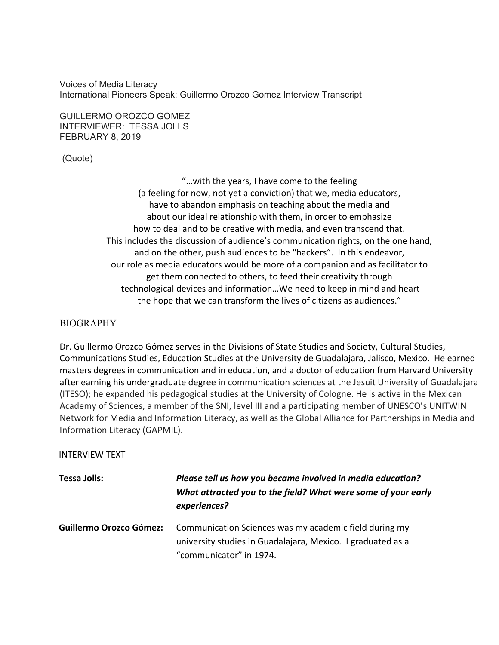Voices of Media Literacy International Pioneers Speak: Guillermo Orozco Gomez Interview Transcript

GUILLERMO OROZCO GOMEZ INTERVIEWER: TESSA JOLLS FEBRUARY 8, 2019

(Quote)

"…with the years, I have come to the feeling (a feeling for now, not yet a conviction) that we, media educators, have to abandon emphasis on teaching about the media and about our ideal relationship with them, in order to emphasize how to deal and to be creative with media, and even transcend that. This includes the discussion of audience's communication rights, on the one hand, and on the other, push audiences to be "hackers". In this endeavor, our role as media educators would be more of a companion and as facilitator to get them connected to others, to feed their creativity through technological devices and information…We need to keep in mind and heart the hope that we can transform the lives of citizens as audiences."

## BIOGRAPHY

Dr. Guillermo Orozco Gómez serves in the Divisions of State Studies and Society, Cultural Studies, Communications Studies, Education Studies at the University de Guadalajara, Jalisco, Mexico. He earned masters degrees in communication and in education, and a doctor of education from Harvard University after earning his undergraduate degree in communication sciences at the Jesuit University of Guadalajara (ITESO); he expanded his pedagogical studies at the University of Cologne. He is active in the Mexican Academy of Sciences, a member of the SNI, level III and a participating member of UNESCO's UNITWIN Network for Media and Information Literacy, as well as the Global Alliance for Partnerships in Media and Information Literacy (GAPMIL).

### INTERVIEW TEXT

| <b>Tessa Jolls:</b>            | Please tell us how you became involved in media education?<br>What attracted you to the field? What were some of your early<br>experiences?      |
|--------------------------------|--------------------------------------------------------------------------------------------------------------------------------------------------|
| <b>Guillermo Orozco Gómez:</b> | Communication Sciences was my academic field during my<br>university studies in Guadalajara, Mexico. I graduated as a<br>"communicator" in 1974. |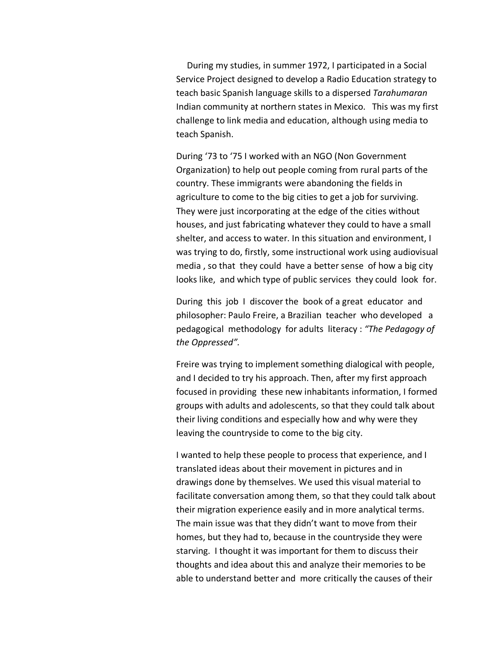During my studies, in summer 1972, I participated in a Social Service Project designed to develop a Radio Education strategy to teach basic Spanish language skills to a dispersed *Tarahumaran* Indian community at northern states in Mexico. This was my first challenge to link media and education, although using media to teach Spanish.

During '73 to '75 I worked with an NGO (Non Government Organization) to help out people coming from rural parts of the country. These immigrants were abandoning the fields in agriculture to come to the big cities to get a job for surviving. They were just incorporating at the edge of the cities without houses, and just fabricating whatever they could to have a small shelter, and access to water. In this situation and environment, I was trying to do, firstly, some instructional work using audiovisual media , so that they could have a better sense of how a big city looks like, and which type of public services they could look for.

During this job I discover the book of a great educator and philosopher: Paulo Freire, a Brazilian teacher who developed a pedagogical methodology for adults literacy : *"The Pedagogy of the Oppressed".* 

Freire was trying to implement something dialogical with people, and I decided to try his approach. Then, after my first approach focused in providing these new inhabitants information, I formed groups with adults and adolescents, so that they could talk about their living conditions and especially how and why were they leaving the countryside to come to the big city.

I wanted to help these people to process that experience, and I translated ideas about their movement in pictures and in drawings done by themselves. We used this visual material to facilitate conversation among them, so that they could talk about their migration experience easily and in more analytical terms. The main issue was that they didn't want to move from their homes, but they had to, because in the countryside they were starving. I thought it was important for them to discuss their thoughts and idea about this and analyze their memories to be able to understand better and more critically the causes of their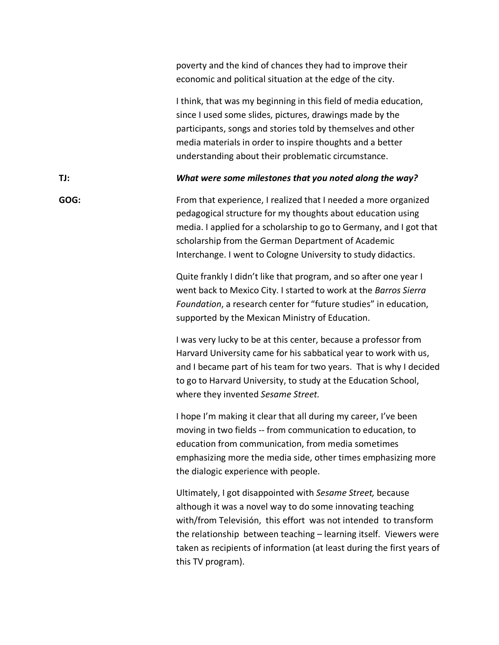|      | poverty and the kind of chances they had to improve their<br>economic and political situation at the edge of the city.                                                                                                                                                                                                                                          |
|------|-----------------------------------------------------------------------------------------------------------------------------------------------------------------------------------------------------------------------------------------------------------------------------------------------------------------------------------------------------------------|
|      | I think, that was my beginning in this field of media education,<br>since I used some slides, pictures, drawings made by the<br>participants, songs and stories told by themselves and other<br>media materials in order to inspire thoughts and a better<br>understanding about their problematic circumstance.                                                |
| TJ:  | What were some milestones that you noted along the way?                                                                                                                                                                                                                                                                                                         |
| GOG: | From that experience, I realized that I needed a more organized<br>pedagogical structure for my thoughts about education using<br>media. I applied for a scholarship to go to Germany, and I got that<br>scholarship from the German Department of Academic<br>Interchange. I went to Cologne University to study didactics.                                    |
|      | Quite frankly I didn't like that program, and so after one year I<br>went back to Mexico City. I started to work at the Barros Sierra<br>Foundation, a research center for "future studies" in education,<br>supported by the Mexican Ministry of Education.                                                                                                    |
|      | I was very lucky to be at this center, because a professor from<br>Harvard University came for his sabbatical year to work with us,<br>and I became part of his team for two years. That is why I decided<br>to go to Harvard University, to study at the Education School,<br>where they invented Sesame Street.                                               |
|      | I hope I'm making it clear that all during my career, I've been<br>moving in two fields -- from communication to education, to<br>education from communication, from media sometimes<br>emphasizing more the media side, other times emphasizing more<br>the dialogic experience with people.                                                                   |
|      | Ultimately, I got disappointed with Sesame Street, because<br>although it was a novel way to do some innovating teaching<br>with/from Televisión, this effort was not intended to transform<br>the relationship between teaching - learning itself. Viewers were<br>taken as recipients of information (at least during the first years of<br>this TV program). |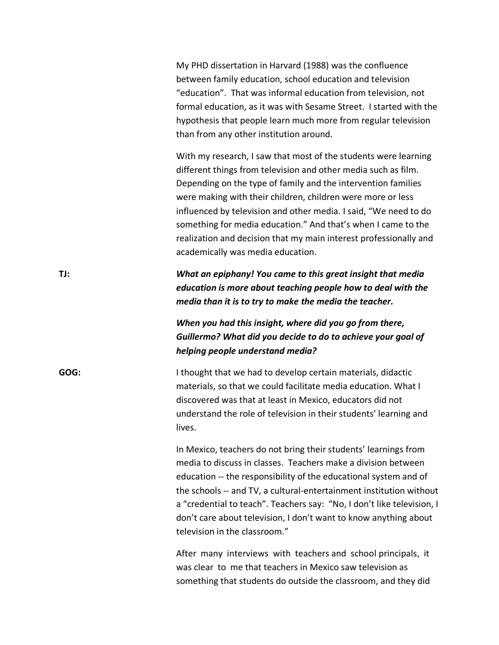My PHD dissertation in Harvard (1988) was the confluence between family education, school education and television "education". That was informal education from television, not formal education, as it was with Sesame Street. I started with the hypothesis that people learn much more from regular television than from any other institution around.

With my research, I saw that most of the students were learning different things from television and other media such as film. Depending on the type of family and the intervention families were making with their children, children were more or less influenced by television and other media. I said, "We need to do something for media education." And that's when I came to the realization and decision that my main interest professionally and academically was media education.

**TJ:** *What an epiphany! You came to this great insight that media education is more about teaching people how to deal with the media than it is to try to make the media the teacher.* 

# *When you had this insight, where did you go from there, Guillermo? What did you decide to do to achieve your goal of helping people understand media?*

**GOG:** I thought that we had to develop certain materials, didactic materials, so that we could facilitate media education. What I discovered was that at least in Mexico, educators did not understand the role of television in their students' learning and lives.

> In Mexico, teachers do not bring their students' learnings from media to discuss in classes. Teachers make a division between education -- the responsibility of the educational system and of the schools -- and TV, a cultural-entertainment institution without a "credential to teach". Teachers say: "No, I don't like television, I don't care about television, I don't want to know anything about television in the classroom."

After many interviews with teachers and school principals, it was clear to me that teachers in Mexico saw television as something that students do outside the classroom, and they did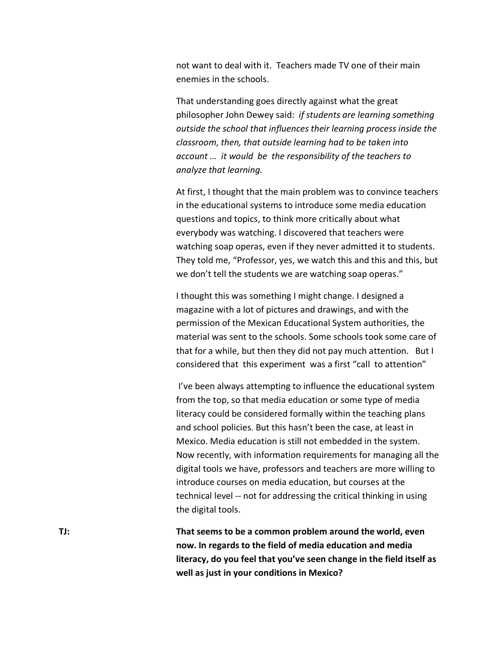not want to deal with it. Teachers made TV one of their main enemies in the schools.

That understanding goes directly against what the great philosopher John Dewey said: *if students are learning something outside the school that influences their learning process inside the classroom*, *then, that outside learning had to be taken into account … it would be the responsibility of the teachers to analyze that learning.* 

At first, I thought that the main problem was to convince teachers in the educational systems to introduce some media education questions and topics, to think more critically about what everybody was watching. I discovered that teachers were watching soap operas, even if they never admitted it to students. They told me, "Professor, yes, we watch this and this and this, but we don't tell the students we are watching soap operas."

I thought this was something I might change. I designed a magazine with a lot of pictures and drawings, and with the permission of the Mexican Educational System authorities, the material was sent to the schools. Some schools took some care of that for a while, but then they did not pay much attention. But I considered that this experiment was a first "call to attention"

I've been always attempting to influence the educational system from the top, so that media education or some type of media literacy could be considered formally within the teaching plans and school policies. But this hasn't been the case, at least in Mexico. Media education is still not embedded in the system. Now recently, with information requirements for managing all the digital tools we have, professors and teachers are more willing to introduce courses on media education, but courses at the technical level -- not for addressing the critical thinking in using the digital tools.

**TJ: That seems to be a common problem around the world, even now. In regards to the field of media education and media literacy, do you feel that you've seen change in the field itself as well as just in your conditions in Mexico?**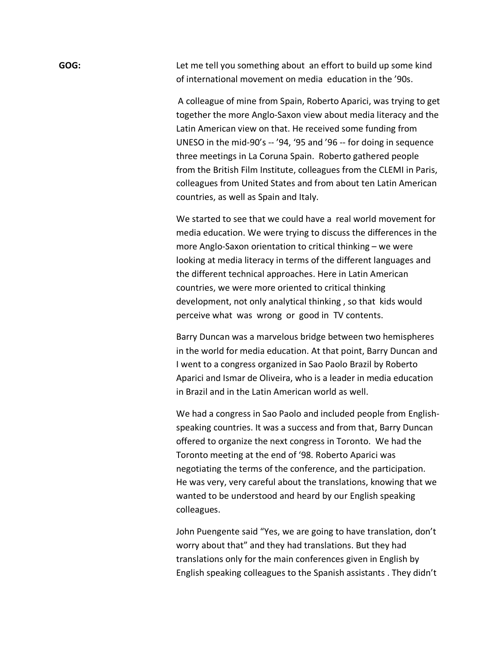**GOG:** Let me tell you something about an effort to build up some kind of international movement on media education in the '90s.

> A colleague of mine from Spain, Roberto Aparici, was trying to get together the more Anglo-Saxon view about media literacy and the Latin American view on that. He received some funding from UNESO in the mid-90's -- '94, '95 and '96 -- for doing in sequence three meetings in La Coruna Spain. Roberto gathered people from the British Film Institute, colleagues from the CLEMI in Paris, colleagues from United States and from about ten Latin American countries, as well as Spain and Italy.

> We started to see that we could have a real world movement for media education. We were trying to discuss the differences in the more Anglo-Saxon orientation to critical thinking – we were looking at media literacy in terms of the different languages and the different technical approaches. Here in Latin American countries, we were more oriented to critical thinking development, not only analytical thinking , so that kids would perceive what was wrong or good in TV contents.

> Barry Duncan was a marvelous bridge between two hemispheres in the world for media education. At that point, Barry Duncan and I went to a congress organized in Sao Paolo Brazil by Roberto Aparici and Ismar de Oliveira, who is a leader in media education in Brazil and in the Latin American world as well.

> We had a congress in Sao Paolo and included people from Englishspeaking countries. It was a success and from that, Barry Duncan offered to organize the next congress in Toronto. We had the Toronto meeting at the end of '98. Roberto Aparici was negotiating the terms of the conference, and the participation. He was very, very careful about the translations, knowing that we wanted to be understood and heard by our English speaking colleagues.

> John Puengente said "Yes, we are going to have translation, don't worry about that" and they had translations. But they had translations only for the main conferences given in English by English speaking colleagues to the Spanish assistants . They didn't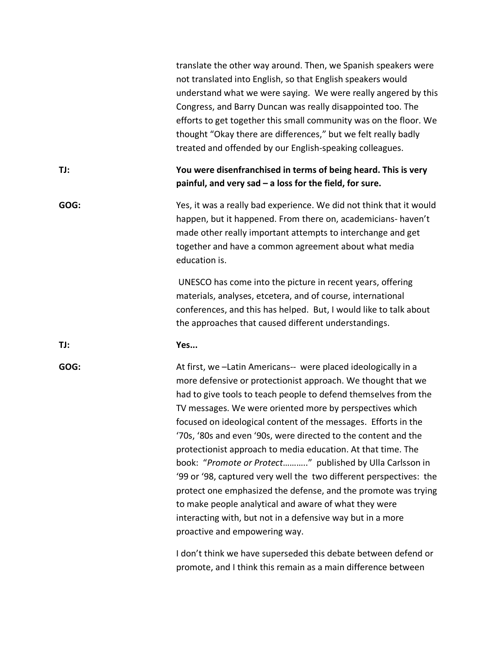|      | translate the other way around. Then, we Spanish speakers were<br>not translated into English, so that English speakers would<br>understand what we were saying. We were really angered by this<br>Congress, and Barry Duncan was really disappointed too. The<br>efforts to get together this small community was on the floor. We<br>thought "Okay there are differences," but we felt really badly<br>treated and offended by our English-speaking colleagues.                                                                                                                                                                                                                                                                                                                                                             |
|------|-------------------------------------------------------------------------------------------------------------------------------------------------------------------------------------------------------------------------------------------------------------------------------------------------------------------------------------------------------------------------------------------------------------------------------------------------------------------------------------------------------------------------------------------------------------------------------------------------------------------------------------------------------------------------------------------------------------------------------------------------------------------------------------------------------------------------------|
| TJ:  | You were disenfranchised in terms of being heard. This is very<br>painful, and very sad - a loss for the field, for sure.                                                                                                                                                                                                                                                                                                                                                                                                                                                                                                                                                                                                                                                                                                     |
| GOG: | Yes, it was a really bad experience. We did not think that it would<br>happen, but it happened. From there on, academicians- haven't<br>made other really important attempts to interchange and get<br>together and have a common agreement about what media<br>education is.                                                                                                                                                                                                                                                                                                                                                                                                                                                                                                                                                 |
|      | UNESCO has come into the picture in recent years, offering<br>materials, analyses, etcetera, and of course, international<br>conferences, and this has helped. But, I would like to talk about<br>the approaches that caused different understandings.                                                                                                                                                                                                                                                                                                                                                                                                                                                                                                                                                                        |
| TJ:  | Yes                                                                                                                                                                                                                                                                                                                                                                                                                                                                                                                                                                                                                                                                                                                                                                                                                           |
| GOG: | At first, we -Latin Americans-- were placed ideologically in a<br>more defensive or protectionist approach. We thought that we<br>had to give tools to teach people to defend themselves from the<br>TV messages. We were oriented more by perspectives which<br>focused on ideological content of the messages. Efforts in the<br>'70s, '80s and even '90s, were directed to the content and the<br>protectionist approach to media education. At that time. The<br>book: "Promote or Protect" published by Ulla Carlsson in<br>'99 or '98, captured very well the two different perspectives: the<br>protect one emphasized the defense, and the promote was trying<br>to make people analytical and aware of what they were<br>interacting with, but not in a defensive way but in a more<br>proactive and empowering way. |
|      | I don't think we have superseded this debate between defend or<br>promote, and I think this remain as a main difference between                                                                                                                                                                                                                                                                                                                                                                                                                                                                                                                                                                                                                                                                                               |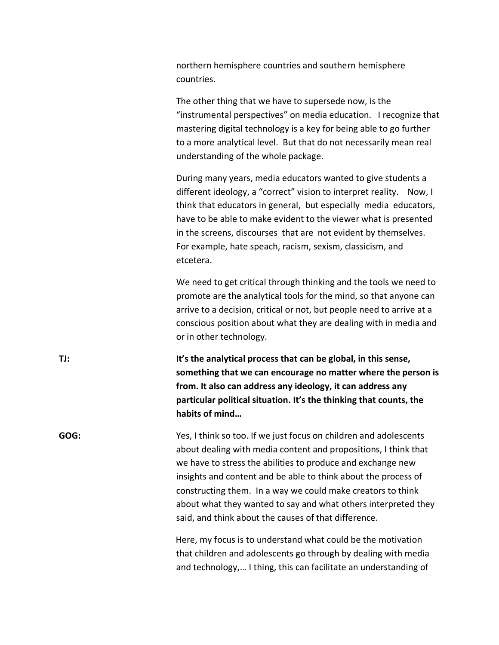northern hemisphere countries and southern hemisphere countries.

The other thing that we have to supersede now, is the "instrumental perspectives" on media education. I recognize that mastering digital technology is a key for being able to go further to a more analytical level. But that do not necessarily mean real understanding of the whole package.

During many years, media educators wanted to give students a different ideology, a "correct" vision to interpret reality. Now, I think that educators in general, but especially media educators, have to be able to make evident to the viewer what is presented in the screens, discourses that are not evident by themselves. For example, hate speach, racism, sexism, classicism, and etcetera.

We need to get critical through thinking and the tools we need to promote are the analytical tools for the mind, so that anyone can arrive to a decision, critical or not, but people need to arrive at a conscious position about what they are dealing with in media and or in other technology.

**TJ: It's the analytical process that can be global, in this sense, something that we can encourage no matter where the person is from. It also can address any ideology, it can address any particular political situation. It's the thinking that counts, the habits of mind…** 

**GOG:** Yes, I think so too. If we just focus on children and adolescents about dealing with media content and propositions, I think that we have to stress the abilities to produce and exchange new insights and content and be able to think about the process of constructing them. In a way we could make creators to think about what they wanted to say and what others interpreted they said, and think about the causes of that difference.

> Here, my focus is to understand what could be the motivation that children and adolescents go through by dealing with media and technology,… I thing, this can facilitate an understanding of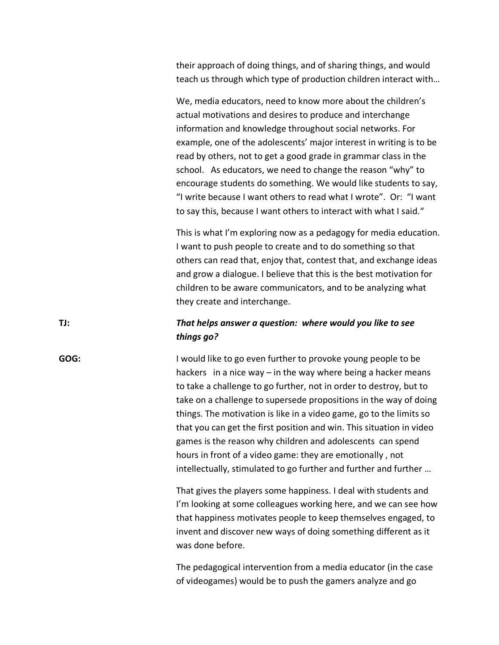their approach of doing things, and of sharing things, and would teach us through which type of production children interact with…

We, media educators, need to know more about the children's actual motivations and desires to produce and interchange information and knowledge throughout social networks. For example, one of the adolescents' major interest in writing is to be read by others, not to get a good grade in grammar class in the school. As educators, we need to change the reason "why" to encourage students do something. We would like students to say, "I write because I want others to read what I wrote". Or: "I want to say this, because I want others to interact with what I said."

This is what I'm exploring now as a pedagogy for media education. I want to push people to create and to do something so that others can read that, enjoy that, contest that, and exchange ideas and grow a dialogue. I believe that this is the best motivation for children to be aware communicators, and to be analyzing what they create and interchange.

### **TJ:** *That helps answer a question: where would you like to see things go?*

**GOG:** I would like to go even further to provoke young people to be hackers in a nice way – in the way where being a hacker means to take a challenge to go further, not in order to destroy, but to take on a challenge to supersede propositions in the way of doing things. The motivation is like in a video game, go to the limits so that you can get the first position and win. This situation in video games is the reason why children and adolescents can spend hours in front of a video game: they are emotionally , not intellectually, stimulated to go further and further and further …

> That gives the players some happiness. I deal with students and I'm looking at some colleagues working here, and we can see how that happiness motivates people to keep themselves engaged, to invent and discover new ways of doing something different as it was done before.

The pedagogical intervention from a media educator (in the case of videogames) would be to push the gamers analyze and go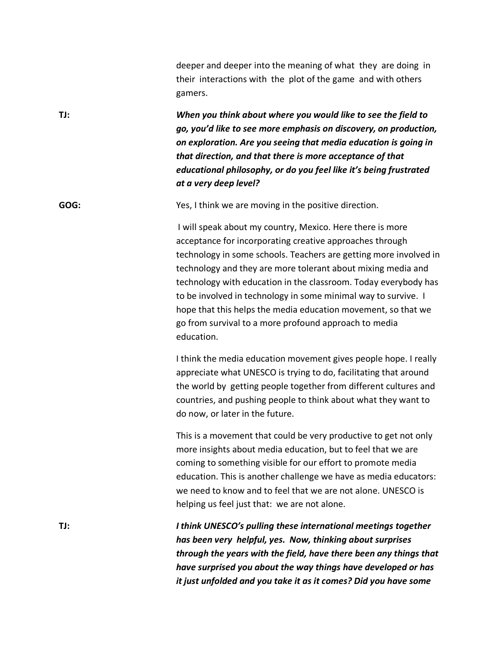deeper and deeper into the meaning of what they are doing in their interactions with the plot of the game and with others gamers.

**TJ:** *When you think about where you would like to see the field to go, you'd like to see more emphasis on discovery, on production, on exploration. Are you seeing that media education is going in that direction, and that there is more acceptance of that educational philosophy, or do you feel like it's being frustrated at a very deep level?*

**GOG:** Yes, I think we are moving in the positive direction.

I will speak about my country, Mexico. Here there is more acceptance for incorporating creative approaches through technology in some schools. Teachers are getting more involved in technology and they are more tolerant about mixing media and technology with education in the classroom. Today everybody has to be involved in technology in some minimal way to survive. I hope that this helps the media education movement, so that we go from survival to a more profound approach to media education.

I think the media education movement gives people hope. I really appreciate what UNESCO is trying to do, facilitating that around the world by getting people together from different cultures and countries, and pushing people to think about what they want to do now, or later in the future.

This is a movement that could be very productive to get not only more insights about media education, but to feel that we are coming to something visible for our effort to promote media education. This is another challenge we have as media educators: we need to know and to feel that we are not alone. UNESCO is helping us feel just that: we are not alone.

**TJ:** *I think UNESCO's pulling these international meetings together has been very helpful, yes. Now, thinking about surprises through the years with the field, have there been any things that have surprised you about the way things have developed or has it just unfolded and you take it as it comes? Did you have some*